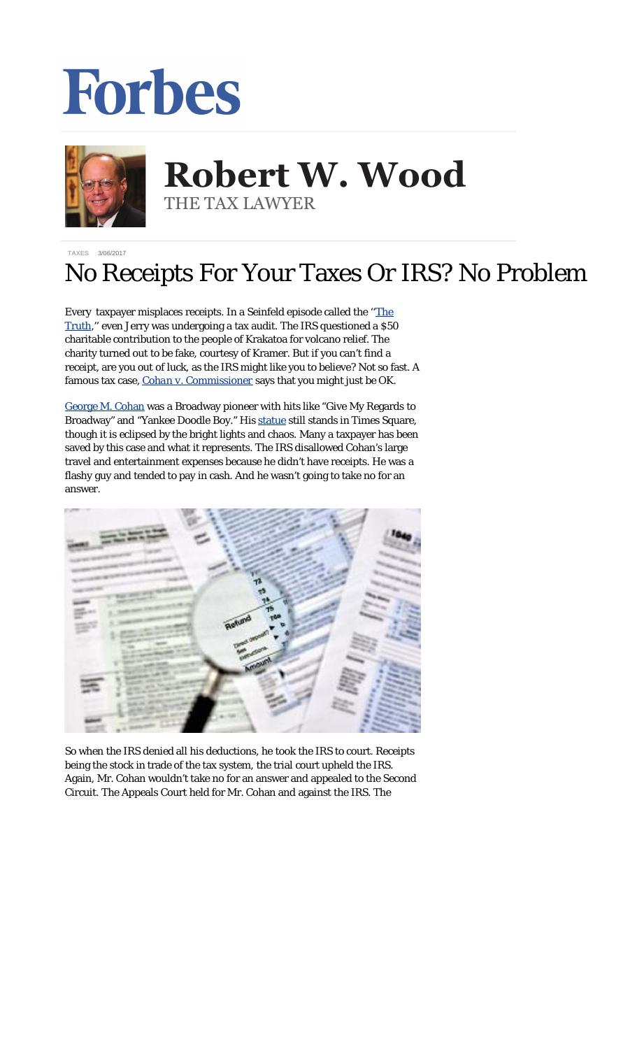## **Forbes**



## **Robert W. Wood Robert W. Wood** THE TAX LAWYER THE TAX LAWYER

**[TAXES](https://www.forbes.com/taxes)** 3/06/2017

## No Receipts For Your Taxes Or IRS? No Problem

Every taxpayer misplaces receipts. In a Seinfeld episode called the ''[The](http://en.wikipedia.org/wiki/The_Truth_(Seinfeld)) [Truth](http://en.wikipedia.org/wiki/The_Truth_(Seinfeld))," even Jerry was undergoing a tax audit. The IRS questioned a \$50 charitable contribution to the people of Krakatoa for volcano relief. The charity turned out to be fake, courtesy of Kramer. But if you can't find a receipt, are you out of luck, as the IRS might like you to believe? Not so fast. A famous tax case, *[Cohan v. Commissioner](http://scholar.google.com/scholar_case?case=4509020810982593158&hl=en&as_sdt=2,5&as_vis=1)* says that you might just be OK.

[George M. Cohan](http://www.nytimes.com/learning/general/onthisday/bday/0703.html) was a Broadway pioneer with hits like "Give My Regards to Broadway" and "Yankee Doodle Boy." His [statue](http://www.nycgovparks.org/parks/M093/highlights/12321) still stands in Times Square, though it is eclipsed by the bright lights and chaos. Many a taxpayer has been saved by this case and what it represents. The IRS disallowed Cohan's large travel and entertainment expenses because he didn't have receipts. He was a flashy guy and tended to pay in cash. And he wasn't going to take no for an answer.



So when the IRS denied all his deductions, he took the IRS to court. Receipts being the stock in trade of the tax system, the trial court upheld the IRS. Again, Mr. Cohan wouldn't take no for an answer and appealed to the Second Circuit. The Appeals Court held for Mr. Cohan and against the IRS. The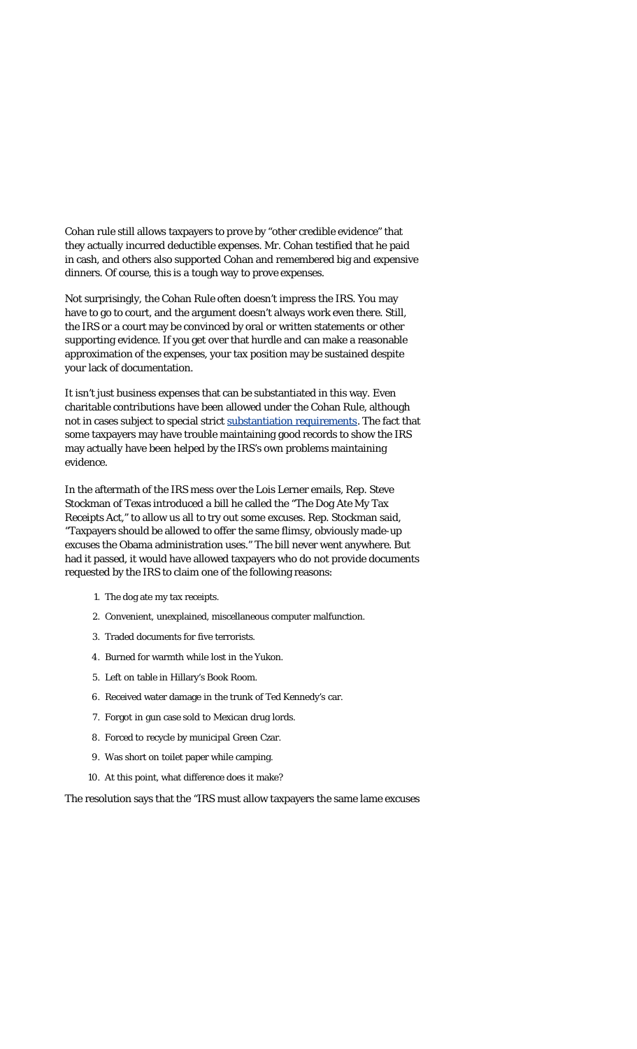Cohan rule still allows taxpayers to prove by "other credible evidence" that they actually incurred deductible expenses. Mr. Cohan testified that he paid in cash, and others also supported Cohan and remembered big and expensive dinners. Of course, this is a tough way to prove expenses.

Not surprisingly, the Cohan Rule often doesn't impress the IRS. You may have to go to court, and the argument doesn't always work even there. Still, the IRS or a court may be convinced by oral or written statements or other supporting evidence. If you get over that hurdle and can make a reasonable approximation of the expenses, your tax position may be sustained despite your lack of documentation.

It isn't just business expenses that can be substantiated in this way. Even charitable contributions have been allowed under the Cohan Rule, although not in cases subject to special strict [substantiation requirements](http://www.forbes.com/2007/01/26/charitable-tax-ppa-pf-ii-in_ae_0126taxspecial_inl.html). The fact that some taxpayers may have trouble maintaining good records to show the IRS may actually have been helped by the IRS's own problems maintaining evidence.

In the aftermath of the IRS mess over the Lois Lerner emails, Rep. Steve Stockman of Texas introduced a bill he called the "The Dog Ate My Tax Receipts Act," to allow us all to try out some excuses. Rep. Stockman said, "Taxpayers should be allowed to offer the same flimsy, obviously made-up excuses the Obama administration uses." The bill never went anywhere. But had it passed, it would have allowed taxpayers who do not provide documents requested by the IRS to claim one of the following reasons:

- 1. The dog ate my tax receipts.
- 2. Convenient, unexplained, miscellaneous computer malfunction.
- 3. Traded documents for five terrorists.
- 4. Burned for warmth while lost in the Yukon.
- 5. Left on table in Hillary's Book Room.
- 6. Received water damage in the trunk of Ted Kennedy's car.
- 7. Forgot in gun case sold to Mexican drug lords.
- 8. Forced to recycle by municipal Green Czar.
- 9. Was short on toilet paper while camping.
- 10. At this point, what difference does it make?

The resolution says that the "IRS must allow taxpayers the same lame excuses